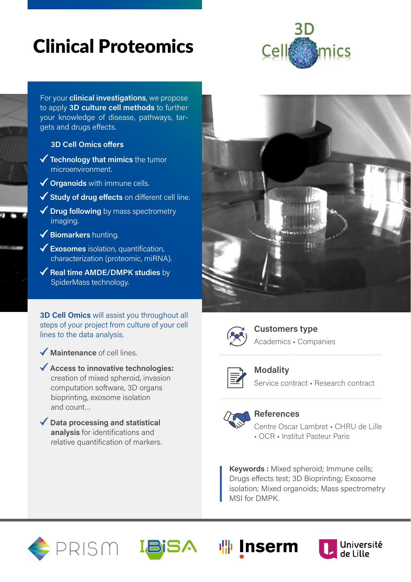# Clinical Proteomics



For your **clinical investigations**, we propose to apply **3D culture cell methods** to further your knowledge of disease, pathways, targets and drugs effects.

#### **3D Cell Omics offers**

- **Technology that mimics** the tumor microenvironment.
- **Organoids** with immune cells.
- **Study of drug effects** on different cell line.

◆ Drug following by mass spectrometry imaging.

- **Biomarkers** hunting.
- **Exosomes** isolation, quantification, characterization (proteomic, miRNA).
- ◆ Real time AMDE/DMPK studies by SpiderMass technology.

**3D Cell Omics** will assist you throughout all steps of your project from culture of your cell lines to the data analysis.

**Access to innovative technologies:**  creation of mixed spheroid, invasion computation software, 3D organs

**Maintenance** of cell lines.

and count…





**Customers type** Academics • Companies



**Modality** Service contract • Research contract

### bioprinting, exosome isolation **Data processing and statistical**

**analysis** for identifications and relative quantification of markers.



### **References**

Centre Oscar Lambret • CHRU de Lille • OCR • Institut Pasteur Paris

**Keywords :** Mixed spheroid; Immune cells; Drugs effects test; 3D Bioprinting; Exosome isolation; Mixed organoids; Mass spectrometry MSI for DMPK.





**喘Inserm**